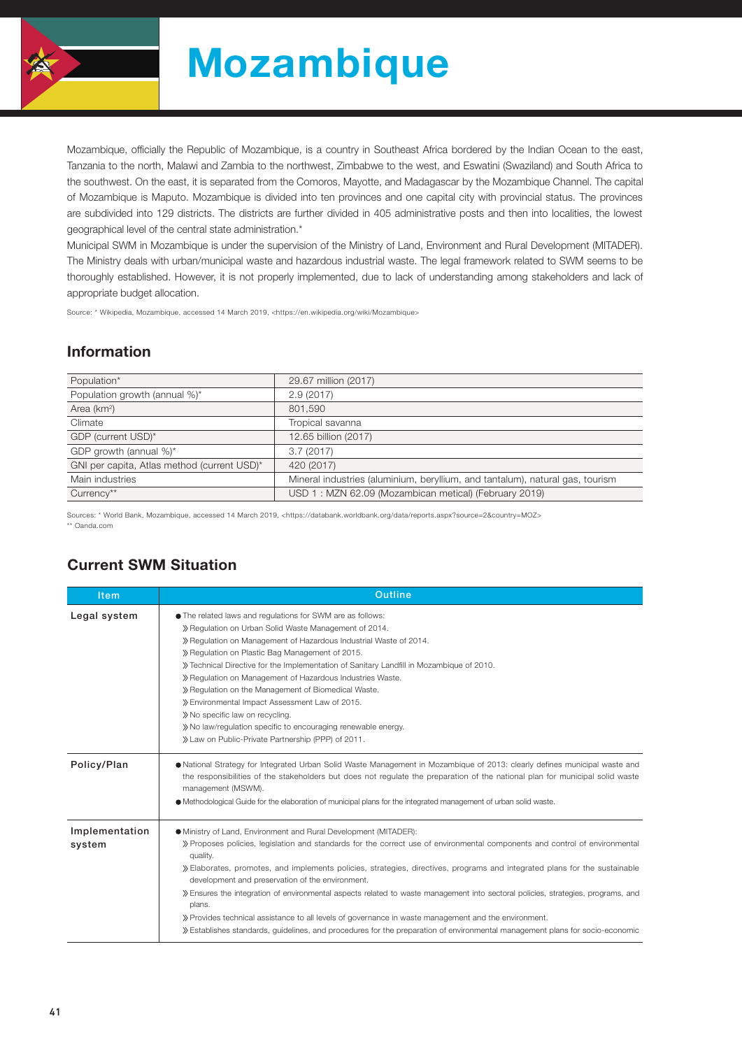

# Mozambique

Mozambique, officially the Republic of Mozambique, is a country in Southeast Africa bordered by the Indian Ocean to the east, Tanzania to the north, Malawi and Zambia to the northwest, Zimbabwe to the west, and Eswatini (Swaziland) and South Africa to the southwest. On the east, it is separated from the Comoros, Mayotte, and Madagascar by the Mozambique Channel. The capital of Mozambique is Maputo. Mozambique is divided into ten provinces and one capital city with provincial status. The provinces are subdivided into 129 districts. The districts are further divided in 405 administrative posts and then into localities, the lowest geographical level of the central state administration.\*

Municipal SWM in Mozambique is under the supervision of the Ministry of Land, Environment and Rural Development (MITADER). The Ministry deals with urban/municipal waste and hazardous industrial waste. The legal framework related to SWM seems to be thoroughly established. However, it is not properly implemented, due to lack of understanding among stakeholders and lack of appropriate budget allocation.

Source: \* Wikipedia, Mozambique, accessed 14 March 2019, <https://en.wikipedia.org/wiki/Mozambique>

#### Information

| Population*                                 | 29.67 million (2017)                                                          |
|---------------------------------------------|-------------------------------------------------------------------------------|
| Population growth (annual %)*               | 2.9(2017)                                                                     |
| Area (km <sup>2</sup> )                     | 801.590                                                                       |
| Climate                                     | Tropical savanna                                                              |
| GDP (current USD)*                          | 12.65 billion (2017)                                                          |
| GDP growth (annual %)*                      | 3.7(2017)                                                                     |
| GNI per capita, Atlas method (current USD)* | 420 (2017)                                                                    |
| Main industries                             | Mineral industries (aluminium, beryllium, and tantalum), natural gas, tourism |
| Currency**                                  | USD 1: MZN 62.09 (Mozambican metical) (February 2019)                         |

Sources: \* World Bank, Mozambique, accessed 14 March 2019, <https://databank.worldbank.org/data/reports.aspx?source=2&country=MOZ> \*\* Oanda.com

#### Current SWM Situation

| <b>Item</b>              | Outline                                                                                                                                                                                                                                                                                                                                                                                                                                                                                                                                                                                                                                                                                                                                                                              |  |  |  |  |
|--------------------------|--------------------------------------------------------------------------------------------------------------------------------------------------------------------------------------------------------------------------------------------------------------------------------------------------------------------------------------------------------------------------------------------------------------------------------------------------------------------------------------------------------------------------------------------------------------------------------------------------------------------------------------------------------------------------------------------------------------------------------------------------------------------------------------|--|--|--|--|
| Legal system             | • The related laws and regulations for SWM are as follows:<br>» Regulation on Urban Solid Waste Management of 2014.<br>» Regulation on Management of Hazardous Industrial Waste of 2014.<br>» Regulation on Plastic Bag Management of 2015.<br>>> Technical Directive for the Implementation of Sanitary Landfill in Mozambique of 2010.<br>» Regulation on Management of Hazardous Industries Waste.<br>» Regulation on the Management of Biomedical Waste.<br>» Environmental Impact Assessment Law of 2015.<br>» No specific law on recycling.<br>>> No law/regulation specific to encouraging renewable energy.<br>» Law on Public-Private Partnership (PPP) of 2011.                                                                                                            |  |  |  |  |
| Policy/Plan              | • National Strategy for Integrated Urban Solid Waste Management in Mozambigue of 2013: clearly defines municipal waste and<br>the responsibilities of the stakeholders but does not regulate the preparation of the national plan for municipal solid waste<br>management (MSWM).<br>• Methodological Guide for the elaboration of municipal plans for the integrated management of urban solid waste.                                                                                                                                                                                                                                                                                                                                                                               |  |  |  |  |
| Implementation<br>system | • Ministry of Land, Environment and Rural Development (MITADER):<br>» Proposes policies, legislation and standards for the correct use of environmental components and control of environmental<br>quality.<br>>> Elaborates, promotes, and implements policies, strategies, directives, programs and integrated plans for the sustainable<br>development and preservation of the environment.<br>» Ensures the integration of environmental aspects related to waste management into sectoral policies, strategies, programs, and<br>plans.<br>» Provides technical assistance to all levels of governance in waste management and the environment.<br>» Establishes standards, guidelines, and procedures for the preparation of environmental management plans for socio-economic |  |  |  |  |